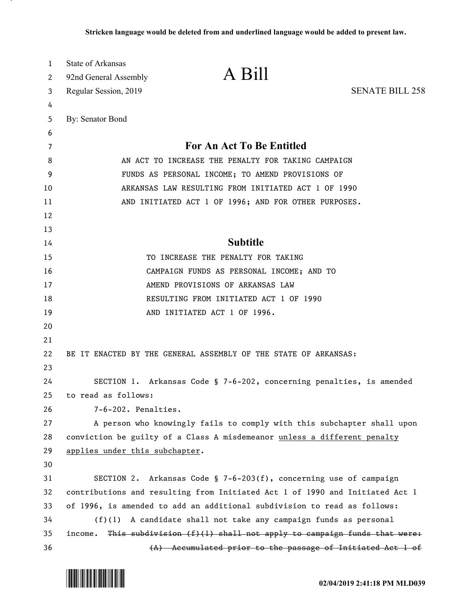| 1<br>2   | State of Arkansas<br>92nd General Assembly | A Bill                                                                       |                        |
|----------|--------------------------------------------|------------------------------------------------------------------------------|------------------------|
| 3        | Regular Session, 2019                      |                                                                              | <b>SENATE BILL 258</b> |
| 4        |                                            |                                                                              |                        |
| 5        | By: Senator Bond                           |                                                                              |                        |
| 6        |                                            |                                                                              |                        |
| 7        |                                            | For An Act To Be Entitled                                                    |                        |
| 8        |                                            | AN ACT TO INCREASE THE PENALTY FOR TAKING CAMPAIGN                           |                        |
| 9        |                                            | FUNDS AS PERSONAL INCOME; TO AMEND PROVISIONS OF                             |                        |
| 10       |                                            | ARKANSAS LAW RESULTING FROM INITIATED ACT 1 OF 1990                          |                        |
| 11       |                                            | AND INITIATED ACT 1 OF 1996; AND FOR OTHER PURPOSES.                         |                        |
| 12<br>13 |                                            |                                                                              |                        |
| 14       |                                            | <b>Subtitle</b>                                                              |                        |
| 15       |                                            | TO INCREASE THE PENALTY FOR TAKING                                           |                        |
| 16       |                                            | CAMPAIGN FUNDS AS PERSONAL INCOME; AND TO                                    |                        |
| 17       |                                            | AMEND PROVISIONS OF ARKANSAS LAW                                             |                        |
| 18       |                                            | RESULTING FROM INITIATED ACT 1 OF 1990                                       |                        |
| 19       |                                            | AND INITIATED ACT 1 OF 1996.                                                 |                        |
| 20       |                                            |                                                                              |                        |
| 21       |                                            |                                                                              |                        |
| 22       |                                            | BE IT ENACTED BY THE GENERAL ASSEMBLY OF THE STATE OF ARKANSAS:              |                        |
| 23       |                                            |                                                                              |                        |
| 24       |                                            | SECTION 1. Arkansas Code § 7-6-202, concerning penalties, is amended         |                        |
| 25       | to read as follows:                        |                                                                              |                        |
| 26       | 7-6-202. Penalties.                        |                                                                              |                        |
| 27       |                                            | A person who knowingly fails to comply with this subchapter shall upon       |                        |
| 28       |                                            | conviction be guilty of a Class A misdemeanor unless a different penalty     |                        |
| 29       | applies under this subchapter.             |                                                                              |                        |
| 30       |                                            |                                                                              |                        |
| 31       |                                            | SECTION 2. Arkansas Code § 7-6-203(f), concerning use of campaign            |                        |
| 32       |                                            | contributions and resulting from Initiated Act 1 of 1990 and Initiated Act 1 |                        |
| 33       |                                            | of 1996, is amended to add an additional subdivision to read as follows:     |                        |
| 34       |                                            | $(f)(1)$ A candidate shall not take any campaign funds as personal           |                        |
| 35       | income.                                    | This subdivision $(f)(1)$ shall not apply to campaign funds that were:       |                        |
| 36       |                                            | (A) Accumulated prior to the passage of Initiated Act 1 of                   |                        |

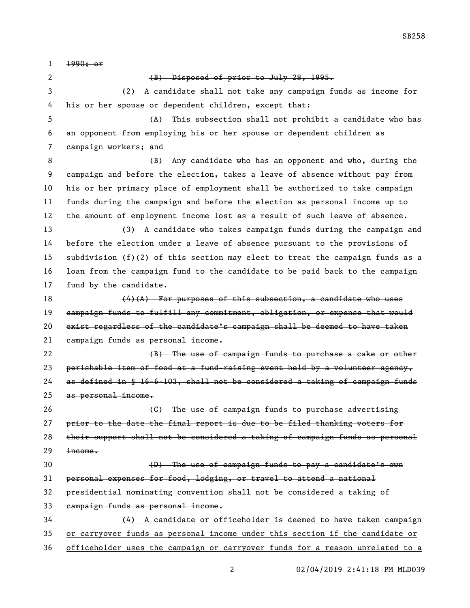SB258

 1990; or 2 (B) Disposed of prior to July 28, 1995. (2) A candidate shall not take any campaign funds as income for his or her spouse or dependent children, except that: (A) This subsection shall not prohibit a candidate who has an opponent from employing his or her spouse or dependent children as campaign workers; and (B) Any candidate who has an opponent and who, during the campaign and before the election, takes a leave of absence without pay from his or her primary place of employment shall be authorized to take campaign funds during the campaign and before the election as personal income up to the amount of employment income lost as a result of such leave of absence. (3) A candidate who takes campaign funds during the campaign and before the election under a leave of absence pursuant to the provisions of subdivision (f)(2) of this section may elect to treat the campaign funds as a loan from the campaign fund to the candidate to be paid back to the campaign fund by the candidate. (4)(A) For purposes of this subsection, a candidate who uses campaign funds to fulfill any commitment, obligation, or expense that would exist regardless of the candidate's campaign shall be deemed to have taken campaign funds as personal income. 22 (B) The use of campaign funds to purchase a cake or other 23 perishable item of food at a fund-raising event held by a volunteer agency, as defined in § 16-6-103, shall not be considered a taking of campaign funds as personal income. **Example 26** Constant Construction Construction Construction Construction Constant Construction Construction Constant Construction Constant Construction Construction Construction Constant Construction Construction Const prior to the date the final report is due to be filed thanking voters for their support shall not be considered a taking of campaign funds as personal income. (D) The use of campaign funds to pay a candidate's own personal expenses for food, lodging, or travel to attend a national presidential nominating convention shall not be considered a taking of campaign funds as personal income. (4) A candidate or officeholder is deemed to have taken campaign or carryover funds as personal income under this section if the candidate or officeholder uses the campaign or carryover funds for a reason unrelated to a

02/04/2019 2:41:18 PM MLD039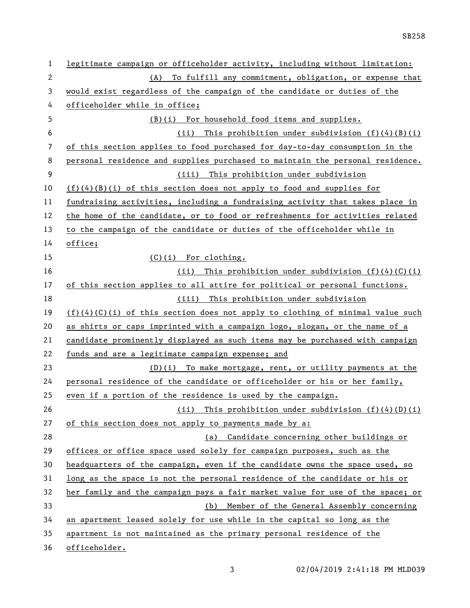SB258

| 1              | legitimate campaign or officeholder activity, including without limitation:     |
|----------------|---------------------------------------------------------------------------------|
| $\overline{2}$ | (A) To fulfill any commitment, obligation, or expense that                      |
| 3              | would exist regardless of the campaign of the candidate or duties of the        |
| 4              | officeholder while in office;                                                   |
| 5              | (B)(i) For household food items and supplies.                                   |
| 6              | (ii) This prohibition under subdivision $(f)(4)(B)(i)$                          |
| 7              | of this section applies to food purchased for day-to-day consumption in the     |
| 8              | personal residence and supplies purchased to maintain the personal residence.   |
| 9              | (iii) This prohibition under subdivision                                        |
| 10             | $(f)(4)(B)(i)$ of this section does not apply to food and supplies for          |
| 11             | fundraising activities, including a fundraising activity that takes place in    |
| 12             | the home of the candidate, or to food or refreshments for activities related    |
| 13             | to the campaign of the candidate or duties of the officeholder while in         |
| 14             | office;                                                                         |
| 15             | $(C)(i)$ For clothing.                                                          |
| 16             | (ii) This prohibition under subdivision $(f)(4)(C)(i)$                          |
| 17             | of this section applies to all attire for political or personal functions.      |
| 18             | (iii) This prohibition under subdivision                                        |
| 19             | $(f)(4)(C)(i)$ of this section does not apply to clothing of minimal value such |
| 20             | as shirts or caps imprinted with a campaign logo, slogan, or the name of a      |
| 21             | candidate prominently displayed as such items may be purchased with campaign    |
| 22             | funds and are a legitimate campaign expense; and                                |
| 23             | $(D)(i)$ To make mortgage, rent, or utility payments at the                     |
| 24             | personal residence of the candidate or officeholder or his or her family,       |
| 25             | even if a portion of the residence is used by the campaign.                     |
| 26             | (ii) This prohibition under subdivision $(f)(4)(D)(i)$                          |
| 27             | of this section does not apply to payments made by a:                           |
| 28             | (a) Candidate concerning other buildings or                                     |
| 29             | offices or office space used solely for campaign purposes, such as the          |
| 30             | headquarters of the campaign, even if the candidate owns the space used, so     |
| 31             | long as the space is not the personal residence of the candidate or his or      |
| 32             | her family and the campaign pays a fair market value for use of the space; or   |
| 33             | Member of the General Assembly concerning<br>(b)                                |
| 34             | an apartment leased solely for use while in the capital so long as the          |
| 35             | apartment is not maintained as the primary personal residence of the            |
| 36             | officeholder.                                                                   |

3 02/04/2019 2:41:18 PM MLD039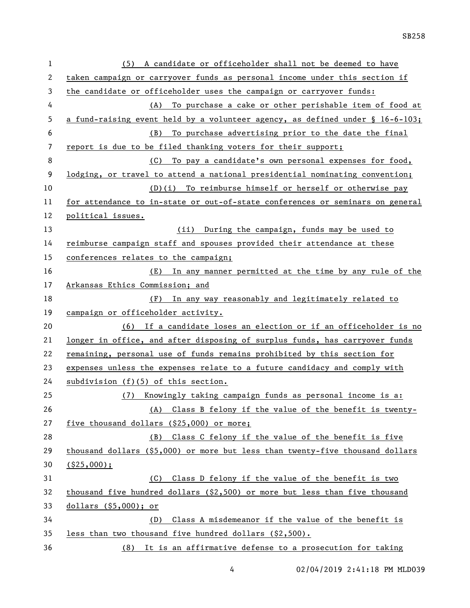| 1            | (5) A candidate or officeholder shall not be deemed to have                      |  |  |
|--------------|----------------------------------------------------------------------------------|--|--|
| $\mathbf{2}$ | taken campaign or carryover funds as personal income under this section if       |  |  |
| 3            | the candidate or officeholder uses the campaign or carryover funds:              |  |  |
| 4            | To purchase a cake or other perishable item of food at<br>(A)                    |  |  |
| 5            | a fund-raising event held by a volunteer agency, as defined under $\S$ 16-6-103; |  |  |
| 6            | To purchase advertising prior to the date the final<br>(B)                       |  |  |
| 7            | report is due to be filed thanking voters for their support;                     |  |  |
| 8            | To pay a candidate's own personal expenses for food,<br>(C)                      |  |  |
| 9            | lodging, or travel to attend a national presidential nominating convention;      |  |  |
| 10           | (D)(i) To reimburse himself or herself or otherwise pay                          |  |  |
| 11           | for attendance to in-state or out-of-state conferences or seminars on general    |  |  |
| 12           | political issues.                                                                |  |  |
| 13           | (ii) During the campaign, funds may be used to                                   |  |  |
| 14           | reimburse campaign staff and spouses provided their attendance at these          |  |  |
| 15           | conferences relates to the campaign;                                             |  |  |
| 16           | (E) In any manner permitted at the time by any rule of the                       |  |  |
| 17           | Arkansas Ethics Commission; and                                                  |  |  |
| 18           | (F) In any way reasonably and legitimately related to                            |  |  |
| 19           | campaign or officeholder activity.                                               |  |  |
| 20           | (6) If a candidate loses an election or if an officeholder is no                 |  |  |
| 21           | longer in office, and after disposing of surplus funds, has carryover funds      |  |  |
| 22           | remaining, personal use of funds remains prohibited by this section for          |  |  |
| 23           | expenses unless the expenses relate to a future candidacy and comply with        |  |  |
| 24           | subdivision $(f)(5)$ of this section.                                            |  |  |
| 25           | (7) Knowingly taking campaign funds as personal income is a:                     |  |  |
| 26           |                                                                                  |  |  |
|              | Class B felony if the value of the benefit is twenty-<br>(A)                     |  |  |
| 27           | five thousand dollars (\$25,000) or more;                                        |  |  |
| 28           | Class C felony if the value of the benefit is five<br>(B)                        |  |  |
| 29           | thousand dollars $(\$5,000)$ or more but less than twenty-five thousand dollars  |  |  |
| 30           | $($ \$25,000);                                                                   |  |  |
| 31           | Class D felony if the value of the benefit is two<br>(C)                         |  |  |
| 32           | thousand five hundred dollars $(2,500)$ or more but less than five thousand      |  |  |
| 33           | dollars (§5,000); or                                                             |  |  |
| 34           | Class A misdemeanor if the value of the benefit is<br>(D)                        |  |  |
| 35           | less than two thousand five hundred dollars (\$2,500).                           |  |  |

02/04/2019 2:41:18 PM MLD039